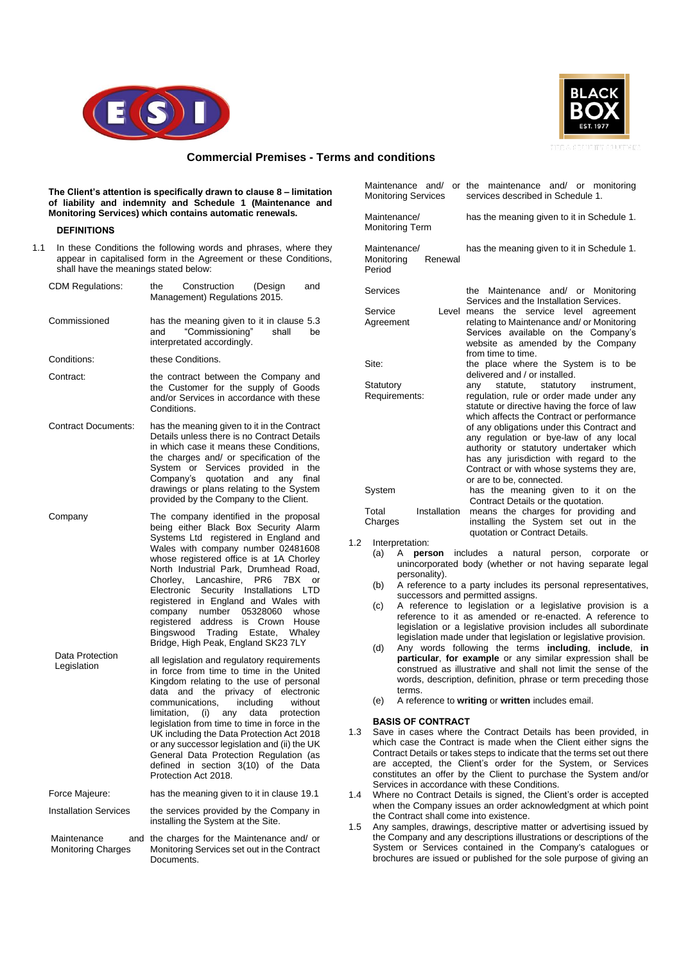



# **Commercial Premises - Terms and conditions**

**The Client's attention is specifically drawn to clause 8 – limitation of liability and indemnity and Schedule 1 (Maintenance and Monitoring Services) which contains automatic renewals.**

#### **DEFINITIONS**

1.1 In these Conditions the following words and phrases, where they appear in capitalised form in the Agreement or these Conditions, shall have the meanings stated below:

| CDM Regulations:                                | Construction<br>the<br>(Design<br>and<br>Management) Regulations 2015.                                                                                                                                                                                                                                                                                                                                                                                                                                                                                                                         |  |  |
|-------------------------------------------------|------------------------------------------------------------------------------------------------------------------------------------------------------------------------------------------------------------------------------------------------------------------------------------------------------------------------------------------------------------------------------------------------------------------------------------------------------------------------------------------------------------------------------------------------------------------------------------------------|--|--|
| Commissioned                                    | has the meaning given to it in clause 5.3<br>"Commissioning"<br>shall<br>be<br>and<br>interpretated accordingly.                                                                                                                                                                                                                                                                                                                                                                                                                                                                               |  |  |
| Conditions:                                     | these Conditions.                                                                                                                                                                                                                                                                                                                                                                                                                                                                                                                                                                              |  |  |
| Contract:                                       | the contract between the Company and<br>the Customer for the supply of Goods<br>and/or Services in accordance with these<br>Conditions.                                                                                                                                                                                                                                                                                                                                                                                                                                                        |  |  |
| <b>Contract Documents:</b>                      | has the meaning given to it in the Contract<br>Details unless there is no Contract Details<br>in which case it means these Conditions,<br>the charges and/ or specification of the<br>Services provided in the<br>System or<br>Company's<br>quotation and<br>any<br>final<br>drawings or plans relating to the System<br>provided by the Company to the Client.                                                                                                                                                                                                                                |  |  |
| Company                                         | The company identified in the proposal<br>being either Black Box Security Alarm<br>Systems Ltd registered in England and<br>Wales with company number 02481608<br>whose registered office is at 1A Chorley<br>North Industrial Park, Drumhead Road,<br>Chorley,<br>Lancashire,<br>PR <sub>6</sub><br>7BX<br>or<br>Security<br>Electronic<br>Installations<br><b>LTD</b><br>registered in England and Wales with<br>05328060<br>company<br>number<br>whose<br>address<br>registered<br>Crown<br>House<br>is<br>Bingswood<br>Trading<br>Estate,<br>Whaley<br>Bridge, High Peak, England SK23 7LY |  |  |
| Data Protection<br>Legislation                  | all legislation and regulatory requirements<br>in force from time to time in the United<br>Kingdom relating to the use of personal<br>privacy of<br>data<br>the<br>electronic<br>and<br>communications,<br>including<br>without<br>limitation,<br>(i)<br>data<br>protection<br>any<br>legislation from time to time in force in the<br>UK including the Data Protection Act 2018<br>or any successor legislation and (ii) the UK<br>General Data Protection Regulation (as<br>defined in section 3(10) of the Data<br>Protection Act 2018.                                                     |  |  |
| Force Majeure:                                  | has the meaning given to it in clause 19.1                                                                                                                                                                                                                                                                                                                                                                                                                                                                                                                                                     |  |  |
| <b>Installation Services</b>                    | the services provided by the Company in<br>installing the System at the Site.                                                                                                                                                                                                                                                                                                                                                                                                                                                                                                                  |  |  |
| Maintenance<br>and<br><b>Monitoring Charges</b> | the charges for the Maintenance and/ or<br>Monitoring Services set out in the Contract<br>Documents.                                                                                                                                                                                                                                                                                                                                                                                                                                                                                           |  |  |

| Maintenance and/<br><b>Monitoring Services</b>  | or the maintenance and/ or monitoring<br>services described in Schedule 1.                                                                                                                                                                                                                                                                                                                                                              |
|-------------------------------------------------|-----------------------------------------------------------------------------------------------------------------------------------------------------------------------------------------------------------------------------------------------------------------------------------------------------------------------------------------------------------------------------------------------------------------------------------------|
| Maintenance/<br><b>Monitoring Term</b>          | has the meaning given to it in Schedule 1.                                                                                                                                                                                                                                                                                                                                                                                              |
| Maintenance/<br>Monitoring<br>Renewal<br>Period | has the meaning given to it in Schedule 1.                                                                                                                                                                                                                                                                                                                                                                                              |
| Services                                        | the Maintenance and/ or Monitoring<br>Services and the Installation Services.                                                                                                                                                                                                                                                                                                                                                           |
| Service<br>Level<br>Agreement                   | the<br>service level<br>means<br>agreement<br>relating to Maintenance and/ or Monitoring<br>Services available on the Company's<br>website as amended by the Company<br>from time to time.                                                                                                                                                                                                                                              |
| Site:                                           | the place where the System is to be<br>delivered and / or installed.                                                                                                                                                                                                                                                                                                                                                                    |
| Statutory<br>Requirements:                      | statute, statutory<br>instrument.<br>anv<br>regulation, rule or order made under any<br>statute or directive having the force of law<br>which affects the Contract or performance<br>of any obligations under this Contract and<br>any regulation or bye-law of any local<br>authority or statutory undertaker which<br>has any jurisdiction with regard to the<br>Contract or with whose systems they are,<br>or are to be, connected. |
| System                                          | has the meaning given to it on the                                                                                                                                                                                                                                                                                                                                                                                                      |
| Installation<br>Total<br>Charges                | Contract Details or the quotation.<br>means the charges for providing and<br>installing the System set out in the<br>quotation or Contract Details.                                                                                                                                                                                                                                                                                     |
| Internretation:                                 |                                                                                                                                                                                                                                                                                                                                                                                                                                         |

- $1.2$ 
	- (a) A **person** includes a natural person, corporate or unincorporated body (whether or not having separate legal personality).
	- (b) A reference to a party includes its personal representatives, successors and permitted assigns.
	- (c) A reference to legislation or a legislative provision is a reference to it as amended or re-enacted. A reference to legislation or a legislative provision includes all subordinate legislation made under that legislation or legislative provision.
	- (d) Any words following the terms **including**, **include**, **in particular**, **for example** or any similar expression shall be construed as illustrative and shall not limit the sense of the words, description, definition, phrase or term preceding those terms.
	- (e) A reference to **writing** or **written** includes email.

#### **BASIS OF CONTRACT**

- 1.3 Save in cases where the Contract Details has been provided, in which case the Contract is made when the Client either signs the Contract Details or takes steps to indicate that the terms set out there are accepted, the Client's order for the System, or Services constitutes an offer by the Client to purchase the System and/or Services in accordance with these Conditions.
- 1.4 Where no Contract Details is signed, the Client's order is accepted when the Company issues an order acknowledgment at which point the Contract shall come into existence.
- 1.5 Any samples, drawings, descriptive matter or advertising issued by the Company and any descriptions illustrations or descriptions of the System or Services contained in the Company's catalogues or brochures are issued or published for the sole purpose of giving an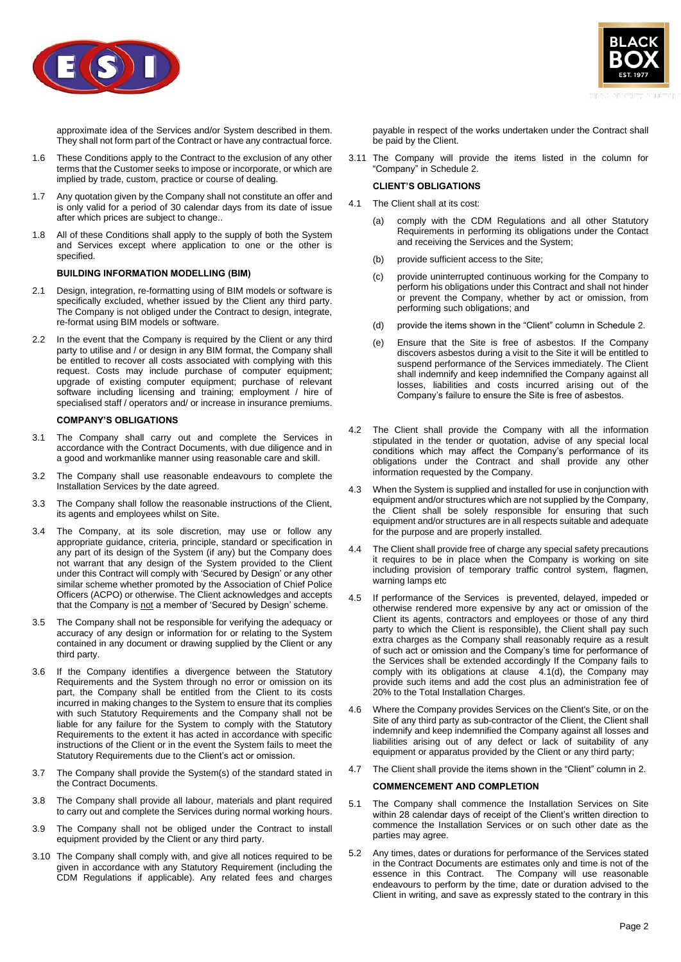



approximate idea of the Services and/or System described in them. They shall not form part of the Contract or have any contractual force.

- 1.6 These Conditions apply to the Contract to the exclusion of any other terms that the Customer seeks to impose or incorporate, or which are implied by trade, custom, practice or course of dealing.
- 1.7 Any quotation given by the Company shall not constitute an offer and is only valid for a period of 30 calendar days from its date of issue after which prices are subject to change..
- 1.8 All of these Conditions shall apply to the supply of both the System and Services except where application to one or the other is specified.

# **BUILDING INFORMATION MODELLING (BIM)**

- 2.1 Design, integration, re-formatting using of BIM models or software is specifically excluded, whether issued by the Client any third party. The Company is not obliged under the Contract to design, integrate, re-format using BIM models or software.
- 2.2 In the event that the Company is required by the Client or any third party to utilise and / or design in any BIM format, the Company shall be entitled to recover all costs associated with complying with this request. Costs may include purchase of computer equipment; upgrade of existing computer equipment; purchase of relevant software including licensing and training; employment / hire of specialised staff / operators and/ or increase in insurance premiums.

# **COMPANY'S OBLIGATIONS**

- 3.1 The Company shall carry out and complete the Services in accordance with the Contract Documents, with due diligence and in a good and workmanlike manner using reasonable care and skill.
- 3.2 The Company shall use reasonable endeavours to complete the Installation Services by the date agreed.
- 3.3 The Company shall follow the reasonable instructions of the Client, its agents and employees whilst on Site.
- 3.4 The Company, at its sole discretion, may use or follow any appropriate guidance, criteria, principle, standard or specification in any part of its design of the System (if any) but the Company does not warrant that any design of the System provided to the Client under this Contract will comply with 'Secured by Design' or any other similar scheme whether promoted by the Association of Chief Police Officers (ACPO) or otherwise. The Client acknowledges and accepts that the Company is not a member of 'Secured by Design' scheme.
- 3.5 The Company shall not be responsible for verifying the adequacy or accuracy of any design or information for or relating to the System contained in any document or drawing supplied by the Client or any third party.
- 3.6 If the Company identifies a divergence between the Statutory Requirements and the System through no error or omission on its part, the Company shall be entitled from the Client to its costs incurred in making changes to the System to ensure that its complies with such Statutory Requirements and the Company shall not be liable for any failure for the System to comply with the Statutory Requirements to the extent it has acted in accordance with specific instructions of the Client or in the event the System fails to meet the Statutory Requirements due to the Client's act or omission.
- 3.7 The Company shall provide the System(s) of the standard stated in the Contract Documents.
- 3.8 The Company shall provide all labour, materials and plant required to carry out and complete the Services during normal working hours.
- 3.9 The Company shall not be obliged under the Contract to install equipment provided by the Client or any third party.
- 3.10 The Company shall comply with, and give all notices required to be given in accordance with any Statutory Requirement (including the CDM Regulations if applicable). Any related fees and charges

payable in respect of the works undertaken under the Contract shall be paid by the Client.

3.11 The Company will provide the items listed in the column for "Company" in Schedule 2.

# **CLIENT'S OBLIGATIONS**

- 4.1 The Client shall at its cost:
	- (a) comply with the CDM Regulations and all other Statutory Requirements in performing its obligations under the Contact and receiving the Services and the System;
	- (b) provide sufficient access to the Site;
	- (c) provide uninterrupted continuous working for the Company to perform his obligations under this Contract and shall not hinder or prevent the Company, whether by act or omission, from performing such obligations; and
	- (d) provide the items shown in the "Client" column in Schedule 2.
	- (e) Ensure that the Site is free of asbestos. If the Company discovers asbestos during a visit to the Site it will be entitled to suspend performance of the Services immediately. The Client shall indemnify and keep indemnified the Company against all losses, liabilities and costs incurred arising out of the Company's failure to ensure the Site is free of asbestos.
- <span id="page-1-0"></span>4.2 The Client shall provide the Company with all the information stipulated in the tender or quotation, advise of any special local conditions which may affect the Company's performance of its obligations under the Contract and shall provide any other information requested by the Company.
- 4.3 When the System is supplied and installed for use in conjunction with equipment and/or structures which are not supplied by the Company, the Client shall be solely responsible for ensuring that such equipment and/or structures are in all respects suitable and adequate for the purpose and are properly installed.
- 4.4 The Client shall provide free of charge any special safety precautions it requires to be in place when the Company is working on site including provision of temporary traffic control system, flagmen, warning lamps etc
- 4.5 If performance of the Services is prevented, delayed, impeded or otherwise rendered more expensive by any act or omission of the Client its agents, contractors and employees or those of any third party to which the Client is responsible), the Client shall pay such extra charges as the Company shall reasonably require as a result of such act or omission and the Company's time for performance of the Services shall be extended accordingly If the Company fails to comply with its obligations at clause  $4.1(d)$ , the Company may provide such items and add the cost plus an administration fee of 20% to the Total Installation Charges.
- 4.6 Where the Company provides Services on the Client's Site, or on the Site of any third party as sub-contractor of the Client, the Client shall indemnify and keep indemnified the Company against all losses and liabilities arising out of any defect or lack of suitability of any equipment or apparatus provided by the Client or any third party;
- 4.7 The Client shall provide the items shown in the "Client" column in 2.

# **COMMENCEMENT AND COMPLETION**

- 5.1 The Company shall commence the Installation Services on Site within 28 calendar days of receipt of the Client's written direction to commence the Installation Services or on such other date as the parties may agree.
- 5.2 Any times, dates or durations for performance of the Services stated in the Contract Documents are estimates only and time is not of the essence in this Contract. The Company will use reasonable endeavours to perform by the time, date or duration advised to the Client in writing, and save as expressly stated to the contrary in this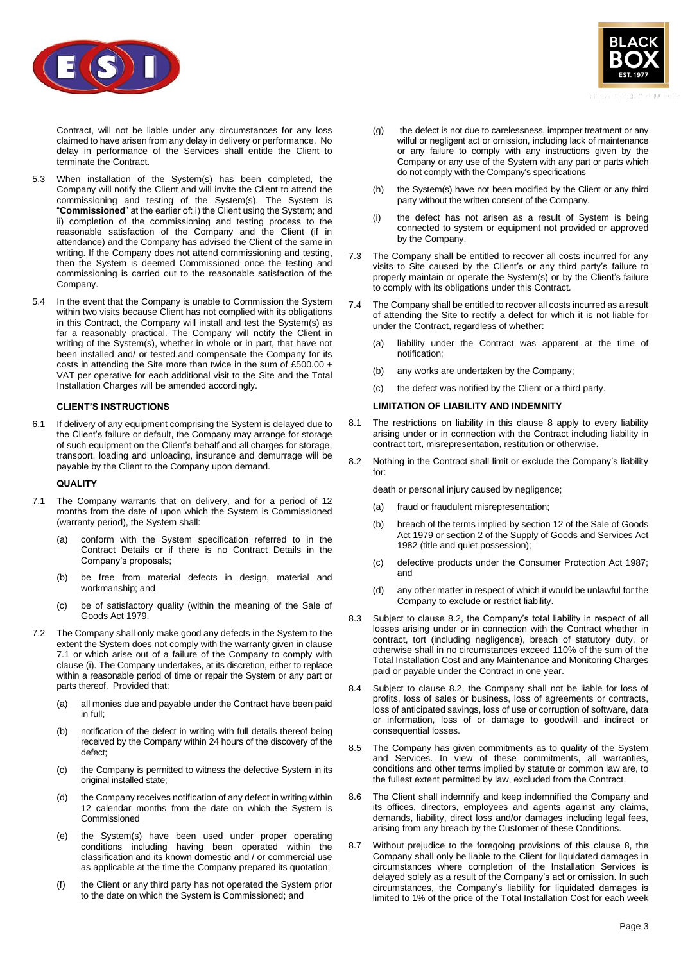

Contract, will not be liable under any circumstances for any loss claimed to have arisen from any delay in delivery or performance. No delay in performance of the Services shall entitle the Client to terminate the Contract.

- <span id="page-2-0"></span>5.3 When installation of the System(s) has been completed, the Company will notify the Client and will invite the Client to attend the commissioning and testing of the System(s). The System is "**Commissioned**" at the earlier of: i) the Client using the System; and ii) completion of the commissioning and testing process to the reasonable satisfaction of the Company and the Client (if in attendance) and the Company has advised the Client of the same in writing. If the Company does not attend commissioning and testing, then the System is deemed Commissioned once the testing and commissioning is carried out to the reasonable satisfaction of the Company.
- 5.4 In the event that the Company is unable to Commission the System within two visits because Client has not complied with its obligations in this Contract, the Company will install and test the System(s) as far a reasonably practical. The Company will notify the Client in writing of the System(s), whether in whole or in part, that have not been installed and/ or tested.and compensate the Company for its costs in attending the Site more than twice in the sum of £500.00 + VAT per operative for each additional visit to the Site and the Total Installation Charges will be amended accordingly.

# **CLIENT'S INSTRUCTIONS**

6.1 If delivery of any equipment comprising the System is delayed due to the Client's failure or default, the Company may arrange for storage of such equipment on the Client's behalf and all charges for storage, transport, loading and unloading, insurance and demurrage will be payable by the Client to the Company upon demand.

#### **QUALITY**

- <span id="page-2-1"></span>7.1 The Company warrants that on delivery, and for a period of 12 months from the date of upon which the System is Commissioned (warranty period), the System shall:
	- (a) conform with the System specification referred to in the Contract Details or if there is no Contract Details in the Company's proposals;
	- (b) be free from material defects in design, material and workmanship; and
	- (c) be of satisfactory quality (within the meaning of the Sale of Goods Act 1979.
- 7.2 The Company shall only make good any defects in the System to the extent the System does not comply with the warranty given in clause [7.1](#page-2-1) or which arise out of a failure of the Company to comply with clause [\(i\).](#page-2-2) The Company undertakes, at its discretion, either to replace within a reasonable period of time or repair the System or any part or parts thereof. Provided that:
	- (a) all monies due and payable under the Contract have been paid in full;
	- (b) notification of the defect in writing with full details thereof being received by the Company within 24 hours of the discovery of the defect;
	- (c) the Company is permitted to witness the defective System in its original installed state;
	- (d) the Company receives notification of any defect in writing within 12 calendar months from the date on which the System is Commissioned
	- (e) the System(s) have been used under proper operating conditions including having been operated within the classification and its known domestic and / or commercial use as applicable at the time the Company prepared its quotation;
	- (f) the Client or any third party has not operated the System prior to the date on which the System is Commissioned; and



- (g) the defect is not due to carelessness, improper treatment or any wilful or negligent act or omission, including lack of maintenance or any failure to comply with any instructions given by the Company or any use of the System with any part or parts which do not comply with the Company's specifications
- (h) the System(s) have not been modified by the Client or any third party without the written consent of the Company.
- <span id="page-2-2"></span>(i) the defect has not arisen as a result of System is being connected to system or equipment not provided or approved by the Company.
- 7.3 The Company shall be entitled to recover all costs incurred for any visits to Site caused by the Client's or any third party's failure to properly maintain or operate the System(s) or by the Client's failure to comply with its obligations under this Contract.
- 7.4 The Company shall be entitled to recover all costs incurred as a result of attending the Site to rectify a defect for which it is not liable for under the Contract, regardless of whether:
	- (a) liability under the Contract was apparent at the time of notification;
	- (b) any works are undertaken by the Company;
	- (c) the defect was notified by the Client or a third party.

#### **LIMITATION OF LIABILITY AND INDEMNITY**

- 8.1 The restrictions on liability in this clause 8 apply to every liability arising under or in connection with the Contract including liability in contract tort, misrepresentation, restitution or otherwise.
- <span id="page-2-3"></span>8.2 Nothing in the Contract shall limit or exclude the Company's liability for:

death or personal injury caused by negligence;

- (a) fraud or fraudulent misrepresentation;
- (b) breach of the terms implied by section 12 of the Sale of Goods Act 1979 or section 2 of the Supply of Goods and Services Act 1982 (title and quiet possession);
- (c) defective products under the Consumer Protection Act 1987; and
- (d) any other matter in respect of which it would be unlawful for the Company to exclude or restrict liability.
- 8.3 Subject to clause [8.2,](#page-2-3) the Company's total liability in respect of all losses arising under or in connection with the Contract whether in contract, tort (including negligence), breach of statutory duty, or otherwise shall in no circumstances exceed 110% of the sum of the Total Installation Cost and any Maintenance and Monitoring Charges paid or payable under the Contract in one year.
- 8.4 Subject to clause [8.2,](#page-2-3) the Company shall not be liable for loss of profits, loss of sales or business, loss of agreements or contracts, loss of anticipated savings, loss of use or corruption of software. data or information, loss of or damage to goodwill and indirect or consequential losses.
- 8.5 The Company has given commitments as to quality of the System and Services. In view of these commitments, all warranties, conditions and other terms implied by statute or common law are, to the fullest extent permitted by law, excluded from the Contract.
- 8.6 The Client shall indemnify and keep indemnified the Company and its offices, directors, employees and agents against any claims, demands, liability, direct loss and/or damages including legal fees, arising from any breach by the Customer of these Conditions.
- 8.7 Without prejudice to the foregoing provisions of this clause 8, the Company shall only be liable to the Client for liquidated damages in circumstances where completion of the Installation Services is delayed solely as a result of the Company's act or omission. In such circumstances, the Company's liability for liquidated damages is limited to 1% of the price of the Total Installation Cost for each week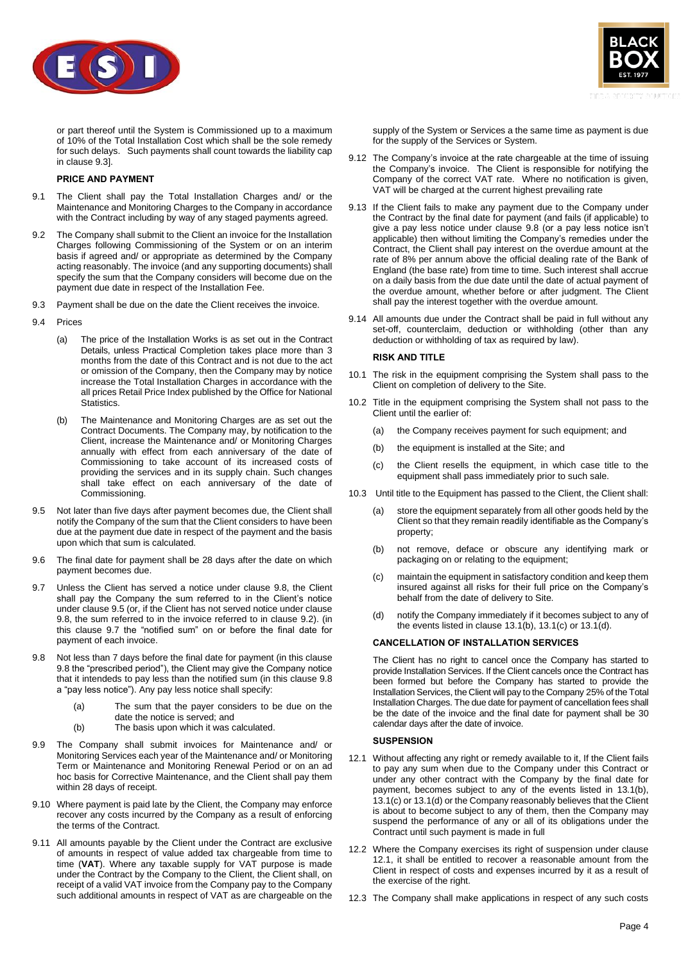



or part thereof until the System is Commissioned up to a maximum of 10% of the Total Installation Cost which shall be the sole remedy for such delays. Such payments shall count towards the liability cap in clause 9.3].

# **PRICE AND PAYMENT**

- 9.1 The Client shall pay the Total Installation Charges and/ or the Maintenance and Monitoring Charges to the Company in accordance with the Contract including by way of any staged payments agreed.
- <span id="page-3-2"></span>9.2 The Company shall submit to the Client an invoice for the Installation Charges following Commissioning of the System or on an interim basis if agreed and/ or appropriate as determined by the Company acting reasonably. The invoice (and any supporting documents) shall specify the sum that the Company considers will become due on the payment due date in respect of the Installation Fee.
- 9.3 Payment shall be due on the date the Client receives the invoice.
- 9.4 Prices
	- (a) The price of the Installation Works is as set out in the Contract Details, unless Practical Completion takes place more than 3 months from the date of this Contract and is not due to the act or omission of the Company, then the Company may by notice increase the Total Installation Charges in accordance with the all prices Retail Price Index published by the Office for National Statistics.
	- (b) The Maintenance and Monitoring Charges are as set out the Contract Documents. The Company may, by notification to the Client, increase the Maintenance and/ or Monitoring Charges annually with effect from each anniversary of the date of Commissioning to take account of its increased costs of providing the services and in its supply chain. Such changes shall take effect on each anniversary of the date of Commissioning.
- <span id="page-3-1"></span>9.5 Not later than five days after payment becomes due, the Client shall notify the Company of the sum that the Client considers to have been due at the payment due date in respect of the payment and the basis upon which that sum is calculated.
- 9.6 The final date for payment shall be 28 days after the date on which payment becomes due.
- <span id="page-3-3"></span>9.7 Unless the Client has served a notice under clause [9.8,](#page-3-0) the Client shall pay the Company the sum referred to in the Client's notice under claus[e 9.5](#page-3-1) (or, if the Client has not served notice under clause [9.8,](#page-3-0) the sum referred to in the invoice referred to in clause [9.2\)](#page-3-2). (in this clause [9.7](#page-3-3) the "notified sum" on or before the final date for payment of each invoice.
- <span id="page-3-0"></span>9.8 Not less than 7 days before the final date for payment (in this clause [9.8](#page-3-0) the "prescribed period"), the Client may give the Company notice that it intendeds to pay less than the notified sum (in this claus[e 9.8](#page-3-0) a "pay less notice"). Any pay less notice shall specify:
	- (a) The sum that the payer considers to be due on the date the notice is served; and
	- (b) The basis upon which it was calculated.
- <span id="page-3-5"></span>9.9 The Company shall submit invoices for Maintenance and/ or Monitoring Services each year of the Maintenance and/ or Monitoring Term or Maintenance and Monitoring Renewal Period or on an ad hoc basis for Corrective Maintenance, and the Client shall pay them within 28 days of receipt.
- 9.10 Where payment is paid late by the Client, the Company may enforce recover any costs incurred by the Company as a result of enforcing the terms of the Contract.
- 9.11 All amounts payable by the Client under the Contract are exclusive of amounts in respect of value added tax chargeable from time to time (**VAT**). Where any taxable supply for VAT purpose is made under the Contract by the Company to the Client, the Client shall, on receipt of a valid VAT invoice from the Company pay to the Company such additional amounts in respect of VAT as are chargeable on the

supply of the System or Services a the same time as payment is due for the supply of the Services or System.

- 9.12 The Company's invoice at the rate chargeable at the time of issuing the Company's invoice. The Client is responsible for notifying the Company of the correct VAT rate. Where no notification is given, VAT will be charged at the current highest prevailing rate
- 9.13 If the Client fails to make any payment due to the Company under the Contract by the final date for payment (and fails (if applicable) to give a pay less notice under clause [9.8](#page-3-0) (or a pay less notice isn't applicable) then without limiting the Company's remedies under the Contract, the Client shall pay interest on the overdue amount at the rate of 8% per annum above the official dealing rate of the Bank of England (the base rate) from time to time. Such interest shall accrue on a daily basis from the due date until the date of actual payment of the overdue amount, whether before or after judgment. The Client shall pay the interest together with the overdue amount.
- 9.14 All amounts due under the Contract shall be paid in full without any set-off, counterclaim, deduction or withholding (other than any deduction or withholding of tax as required by law).

#### **RISK AND TITLE**

- 10.1 The risk in the equipment comprising the System shall pass to the Client on completion of delivery to the Site.
- 10.2 Title in the equipment comprising the System shall not pass to the Client until the earlier of:
	- (a) the Company receives payment for such equipment; and
	- (b) the equipment is installed at the Site; and
	- (c) the Client resells the equipment, in which case title to the equipment shall pass immediately prior to such sale.
- 10.3 Until title to the Equipment has passed to the Client, the Client shall:
	- (a) store the equipment separately from all other goods held by the Client so that they remain readily identifiable as the Company's property;
	- (b) not remove, deface or obscure any identifying mark or packaging on or relating to the equipment;
	- (c) maintain the equipment in satisfactory condition and keep them insured against all risks for their full price on the Company's behalf from the date of delivery to Site.
	- (d) notify the Company immediately if it becomes subject to any of the events listed in clause  $13.1(b)$ ,  $13.1(c)$  or  $13.1(d)$ .

## **CANCELLATION OF INSTALLATION SERVICES**

The Client has no right to cancel once the Company has started to provide Installation Services. If the Client cancels once the Contract has been formed but before the Company has started to provide the Installation Services, the Client will pay to the Company 25% of the Total Installation Charges. The due date for payment of cancellation fees shall be the date of the invoice and the final date for payment shall be 30 calendar days after the date of invoice.

## **SUSPENSION**

- <span id="page-3-4"></span>12.1 Without affecting any right or remedy available to it, If the Client fails to pay any sum when due to the Company under this Contract or under any other contract with the Company by the final date for payment, becomes subject to any of the events listed in [13.1\(b\),](#page-4-0) [13.1\(c\)](#page-4-1) o[r 13.1\(d\)](#page-4-2) or the Company reasonably believes that the Client is about to become subject to any of them, then the Company may suspend the performance of any or all of its obligations under the Contract until such payment is made in full
- 12.2 Where the Company exercises its right of suspension under clause [12.1,](#page-3-4) it shall be entitled to recover a reasonable amount from the Client in respect of costs and expenses incurred by it as a result of the exercise of the right.
- 12.3 The Company shall make applications in respect of any such costs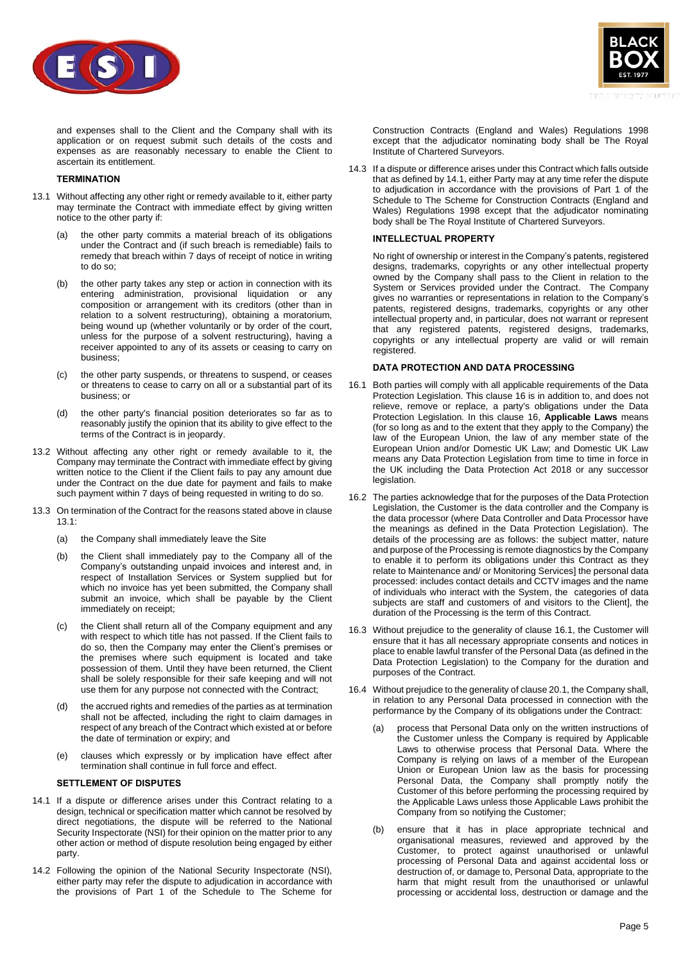



and expenses shall to the Client and the Company shall with its application or on request submit such details of the costs and expenses as are reasonably necessary to enable the Client to ascertain its entitlement.

# **TERMINATION**

- <span id="page-4-3"></span><span id="page-4-0"></span>13.1 Without affecting any other right or remedy available to it, either party may terminate the Contract with immediate effect by giving written notice to the other party if:
	- (a) the other party commits a material breach of its obligations under the Contract and (if such breach is remediable) fails to remedy that breach within 7 days of receipt of notice in writing to do so;
	- (b) the other party takes any step or action in connection with its entering administration, provisional liquidation or any composition or arrangement with its creditors (other than in relation to a solvent restructuring), obtaining a moratorium, being wound up (whether voluntarily or by order of the court, unless for the purpose of a solvent restructuring), having a receiver appointed to any of its assets or ceasing to carry on business;
	- (c) the other party suspends, or threatens to suspend, or ceases or threatens to cease to carry on all or a substantial part of its business; or
	- (d) the other party's financial position deteriorates so far as to reasonably justify the opinion that its ability to give effect to the terms of the Contract is in jeopardy.
- <span id="page-4-2"></span><span id="page-4-1"></span>13.2 Without affecting any other right or remedy available to it, the Company may terminate the Contract with immediate effect by giving written notice to the Client if the Client fails to pay any amount due under the Contract on the due date for payment and fails to make such payment within 7 days of being requested in writing to do so.
- 13.3 On termination of the Contract for the reasons stated above in clause [13.1:](#page-4-3)
	- (a) the Company shall immediately leave the Site
	- (b) the Client shall immediately pay to the Company all of the Company's outstanding unpaid invoices and interest and, in respect of Installation Services or System supplied but for which no invoice has yet been submitted, the Company shall submit an invoice, which shall be payable by the Client immediately on receipt;
	- (c) the Client shall return all of the Company equipment and any with respect to which title has not passed. If the Client fails to do so, then the Company may enter the Client's premises or the premises where such equipment is located and take possession of them. Until they have been returned, the Client shall be solely responsible for their safe keeping and will not use them for any purpose not connected with the Contract;
	- (d) the accrued rights and remedies of the parties as at termination shall not be affected, including the right to claim damages in respect of any breach of the Contract which existed at or before the date of termination or expiry; and
	- (e) clauses which expressly or by implication have effect after termination shall continue in full force and effect.

# **SETTLEMENT OF DISPUTES**

- <span id="page-4-4"></span>14.1 If a dispute or difference arises under this Contract relating to a design, technical or specification matter which cannot be resolved by direct negotiations, the dispute will be referred to the National Security Inspectorate (NSI) for their opinion on the matter prior to any other action or method of dispute resolution being engaged by either party.
- 14.2 Following the opinion of the National Security Inspectorate (NSI), either party may refer the dispute to adjudication in accordance with the provisions of Part 1 of the Schedule to The Scheme for

Construction Contracts (England and Wales) Regulations 1998 except that the adjudicator nominating body shall be The Royal Institute of Chartered Surveyors.

14.3 If a dispute or difference arises under this Contract which falls outside that as defined b[y 14.1,](#page-4-4) either Party may at any time refer the dispute to adjudication in accordance with the provisions of Part 1 of the Schedule to The Scheme for Construction Contracts (England and Wales) Regulations 1998 except that the adjudicator nominating body shall be The Royal Institute of Chartered Surveyors.

# **INTELLECTUAL PROPERTY**

No right of ownership or interest in the Company's patents, registered designs, trademarks, copyrights or any other intellectual property owned by the Company shall pass to the Client in relation to the System or Services provided under the Contract. The Company gives no warranties or representations in relation to the Company's patents, registered designs, trademarks, copyrights or any other intellectual property and, in particular, does not warrant or represent that any registered patents, registered designs, trademarks, copyrights or any intellectual property are valid or will remain registered.

## **DATA PROTECTION AND DATA PROCESSING**

- <span id="page-4-5"></span>16.1 Both parties will comply with all applicable requirements of the Data Protection Legislation. This clause 16 is in addition to, and does not relieve, remove or replace, a party's obligations under the Data Protection Legislation. In this clause 16, **Applicable Laws** means (for so long as and to the extent that they apply to the Company) the law of the European Union, the law of any member state of the European Union and/or Domestic UK Law; and Domestic UK Law means any Data Protection Legislation from time to time in force in the UK including the Data Protection Act 2018 or any successor legislation.
- 16.2 The parties acknowledge that for the purposes of the Data Protection Legislation, the Customer is the data controller and the Company is the data processor (where Data Controller and Data Processor have the meanings as defined in the Data Protection Legislation). The details of the processing are as follows: the subject matter, nature and purpose of the Processing is remote diagnostics by the Company to enable it to perform its obligations under this Contract as they relate to Maintenance and/ or Monitoring Services] the personal data processed: includes contact details and CCTV images and the name of individuals who interact with the System, the categories of data subjects are staff and customers of and visitors to the Client], the duration of the Processing is the term of this Contract.
- 16.3 Without prejudice to the generality of clause [16.1,](#page-4-5) the Customer will ensure that it has all necessary appropriate consents and notices in place to enable lawful transfer of the Personal Data (as defined in the Data Protection Legislation) to the Company for the duration and purposes of the Contract.
- <span id="page-4-6"></span>16.4 Without prejudice to the generality of clause 20.1, the Company shall, in relation to any Personal Data processed in connection with the performance by the Company of its obligations under the Contract:
	- (a) process that Personal Data only on the written instructions of the Customer unless the Company is required by Applicable Laws to otherwise process that Personal Data. Where the Company is relying on laws of a member of the European Union or European Union law as the basis for processing Personal Data, the Company shall promptly notify the Customer of this before performing the processing required by the Applicable Laws unless those Applicable Laws prohibit the Company from so notifying the Customer;
	- (b) ensure that it has in place appropriate technical and organisational measures, reviewed and approved by the Customer, to protect against unauthorised or unlawful processing of Personal Data and against accidental loss or destruction of, or damage to, Personal Data, appropriate to the harm that might result from the unauthorised or unlawful processing or accidental loss, destruction or damage and the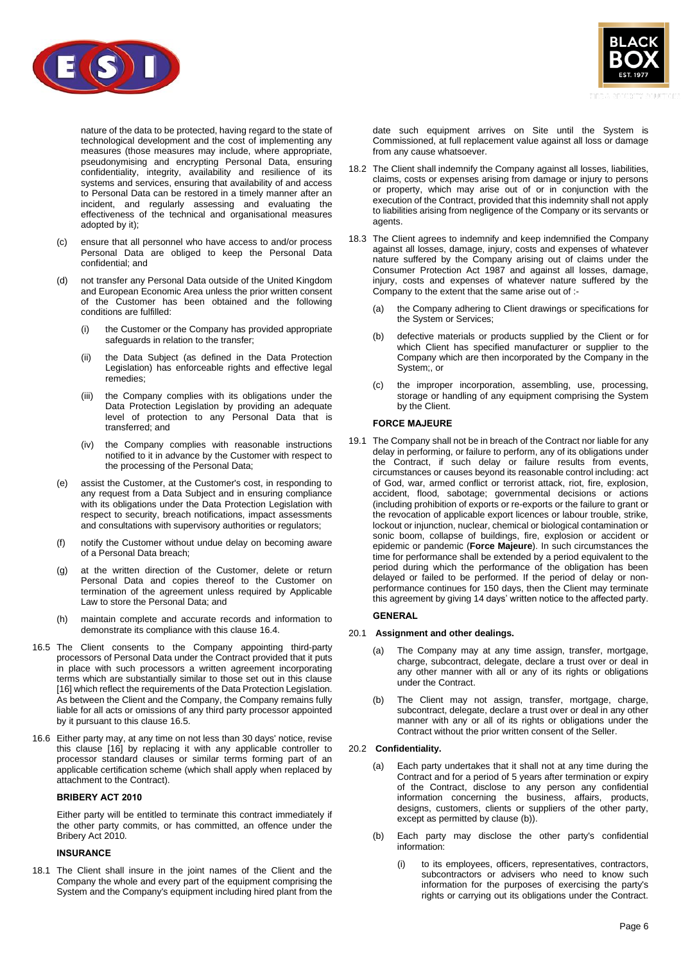

nature of the data to be protected, having regard to the state of technological development and the cost of implementing any measures (those measures may include, where appropriate, pseudonymising and encrypting Personal Data, ensuring confidentiality, integrity, availability and resilience of its systems and services, ensuring that availability of and access to Personal Data can be restored in a timely manner after an incident, and regularly assessing and evaluating the effectiveness of the technical and organisational measures adopted by it);

- (c) ensure that all personnel who have access to and/or process Personal Data are obliged to keep the Personal Data confidential; and
- (d) not transfer any Personal Data outside of the United Kingdom and European Economic Area unless the prior written consent of the Customer has been obtained and the following conditions are fulfilled:
	- (i) the Customer or the Company has provided appropriate safeguards in relation to the transfer;
	- (ii) the Data Subject (as defined in the Data Protection Legislation) has enforceable rights and effective legal remedies;
	- (iii) the Company complies with its obligations under the Data Protection Legislation by providing an adequate level of protection to any Personal Data that is transferred; and
	- (iv) the Company complies with reasonable instructions notified to it in advance by the Customer with respect to the processing of the Personal Data;
- (e) assist the Customer, at the Customer's cost, in responding to any request from a Data Subject and in ensuring compliance with its obligations under the Data Protection Legislation with respect to security, breach notifications, impact assessments and consultations with supervisory authorities or regulators;
- (f) notify the Customer without undue delay on becoming aware of a Personal Data breach;
- (g) at the written direction of the Customer, delete or return Personal Data and copies thereof to the Customer on termination of the agreement unless required by Applicable Law to store the Personal Data; and
- (h) maintain complete and accurate records and information to demonstrate its compliance with this clause [16.4.](#page-4-6)
- <span id="page-5-1"></span>16.5 The Client consents to the Company appointing third-party processors of Personal Data under the Contract provided that it puts in place with such processors a written agreement incorporating terms which are substantially similar to those set out in this clause [16] which reflect the requirements of the Data Protection Legislation. As between the Client and the Company, the Company remains fully liable for all acts or omissions of any third party processor appointed by it pursuant to this clause [16.5.](#page-5-1)
- 16.6 Either party may, at any time on not less than 30 days' notice, revise this clause [16] by replacing it with any applicable controller to processor standard clauses or similar terms forming part of an applicable certification scheme (which shall apply when replaced by attachment to the Contract).

#### **BRIBERY ACT 2010**

Either party will be entitled to terminate this contract immediately if the other party commits, or has committed, an offence under the Bribery Act 2010.

# **INSURANCE**

18.1 The Client shall insure in the joint names of the Client and the Company the whole and every part of the equipment comprising the System and the Company's equipment including hired plant from the



date such equipment arrives on Site until the System is Commissioned, at full replacement value against all loss or damage from any cause whatsoever.

- 18.2 The Client shall indemnify the Company against all losses, liabilities, claims, costs or expenses arising from damage or injury to persons or property, which may arise out of or in conjunction with the execution of the Contract, provided that this indemnity shall not apply to liabilities arising from negligence of the Company or its servants or agents.
- 18.3 The Client agrees to indemnify and keep indemnified the Company against all losses, damage, injury, costs and expenses of whatever nature suffered by the Company arising out of claims under the Consumer Protection Act 1987 and against all losses, damage, injury, costs and expenses of whatever nature suffered by the Company to the extent that the same arise out of :-
	- (a) the Company adhering to Client drawings or specifications for the System or Services;
	- (b) defective materials or products supplied by the Client or for which Client has specified manufacturer or supplier to the Company which are then incorporated by the Company in the System;, or
	- (c) the improper incorporation, assembling, use, processing, storage or handling of any equipment comprising the System by the Client.

## **FORCE MAJEURE**

<span id="page-5-0"></span>19.1 The Company shall not be in breach of the Contract nor liable for any delay in performing, or failure to perform, any of its obligations under the Contract, if such delay or failure results from events, circumstances or causes beyond its reasonable control including: act of God, war, armed conflict or terrorist attack, riot, fire, explosion, accident, flood, sabotage; governmental decisions or actions (including prohibition of exports or re-exports or the failure to grant or the revocation of applicable export licences or labour trouble, strike, lockout or injunction, nuclear, chemical or biological contamination or sonic boom, collapse of buildings, fire, explosion or accident or epidemic or pandemic (**Force Majeure**). In such circumstances the time for performance shall be extended by a period equivalent to the period during which the performance of the obligation has been delayed or failed to be performed. If the period of delay or nonperformance continues for 150 days, then the Client may terminate this agreement by giving 14 days' written notice to the affected party.

## **GENERAL**

## 20.1 **Assignment and other dealings.**

- (a) The Company may at any time assign, transfer, mortgage, charge, subcontract, delegate, declare a trust over or deal in any other manner with all or any of its rights or obligations under the Contract.
- (b) The Client may not assign, transfer, mortgage, charge, subcontract, delegate, declare a trust over or deal in any other manner with any or all of its rights or obligations under the Contract without the prior written consent of the Seller.

## 20.2 **Confidentiality.**

- <span id="page-5-3"></span>(a) Each party undertakes that it shall not at any time during the Contract and for a period of 5 years after termination or expiry of the Contract, disclose to any person any confidential information concerning the business, affairs, products, designs, customers, clients or suppliers of the other party, except as permitted by claus[e \(b\)\)](#page-5-2).
- <span id="page-5-2"></span>(b) Each party may disclose the other party's confidential information:
	- (i) to its employees, officers, representatives, contractors, subcontractors or advisers who need to know such information for the purposes of exercising the party's rights or carrying out its obligations under the Contract.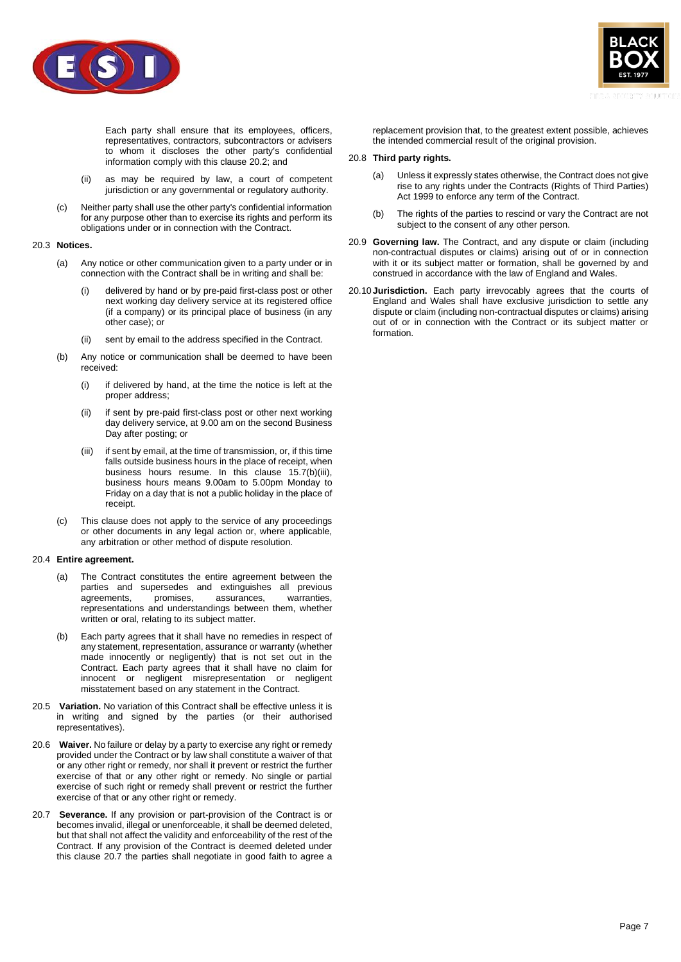

Each party shall ensure that its employees, officers, representatives, contractors, subcontractors or advisers to whom it discloses the other party's confidential information comply with this clause [20.2;](#page-5-3) and

- (ii) as may be required by law, a court of competent jurisdiction or any governmental or regulatory authority.
- (c) Neither party shall use the other party's confidential information for any purpose other than to exercise its rights and perform its obligations under or in connection with the Contract.

# 20.3 **Notices.**

- (a) Any notice or other communication given to a party under or in connection with the Contract shall be in writing and shall be:
	- delivered by hand or by pre-paid first-class post or other next working day delivery service at its registered office (if a company) or its principal place of business (in any other case); or
	- sent by email to the address specified in the Contract.
- (b) Any notice or communication shall be deemed to have been received:
	- (i) if delivered by hand, at the time the notice is left at the proper address;
	- (ii) if sent by pre-paid first-class post or other next working day delivery service, at 9.00 am on the second Business Day after posting; or
	- (iii) if sent by email, at the time of transmission, or, if this time falls outside business hours in the place of receipt, when business hours resume. In this clause 15.7(b)(iii), business hours means 9.00am to 5.00pm Monday to Friday on a day that is not a public holiday in the place of receipt.
- (c) This clause does not apply to the service of any proceedings or other documents in any legal action or, where applicable, any arbitration or other method of dispute resolution.

#### 20.4 **Entire agreement.**

- (a) The Contract constitutes the entire agreement between the parties and supersedes and extinguishes all previous agreements, promises, assurances, warranties, agreements, promises, assurances, warranties, representations and understandings between them, whether written or oral, relating to its subject matter.
- (b) Each party agrees that it shall have no remedies in respect of any statement, representation, assurance or warranty (whether made innocently or negligently) that is not set out in the Contract. Each party agrees that it shall have no claim for innocent or negligent misrepresentation or negligent misstatement based on any statement in the Contract.
- 20.5 **Variation.** No variation of this Contract shall be effective unless it is in writing and signed by the parties (or their authorised representatives).
- 20.6 **Waiver.** No failure or delay by a party to exercise any right or remedy provided under the Contract or by law shall constitute a waiver of that or any other right or remedy, nor shall it prevent or restrict the further exercise of that or any other right or remedy. No single or partial exercise of such right or remedy shall prevent or restrict the further exercise of that or any other right or remedy.
- <span id="page-6-0"></span>20.7 **Severance.** If any provision or part-provision of the Contract is or becomes invalid, illegal or unenforceable, it shall be deemed deleted, but that shall not affect the validity and enforceability of the rest of the Contract. If any provision of the Contract is deemed deleted under this clause [20.7](#page-6-0) the parties shall negotiate in good faith to agree a



replacement provision that, to the greatest extent possible, achieves the intended commercial result of the original provision.

#### 20.8 **Third party rights.**

- (a) Unless it expressly states otherwise, the Contract does not give rise to any rights under the Contracts (Rights of Third Parties) Act 1999 to enforce any term of the Contract.
- (b) The rights of the parties to rescind or vary the Contract are not subject to the consent of any other person.
- 20.9 **Governing law.** The Contract, and any dispute or claim (including non-contractual disputes or claims) arising out of or in connection with it or its subject matter or formation, shall be governed by and construed in accordance with the law of England and Wales.
- 20.10 **Jurisdiction.** Each party irrevocably agrees that the courts of England and Wales shall have exclusive jurisdiction to settle any dispute or claim (including non-contractual disputes or claims) arising out of or in connection with the Contract or its subject matter or formation.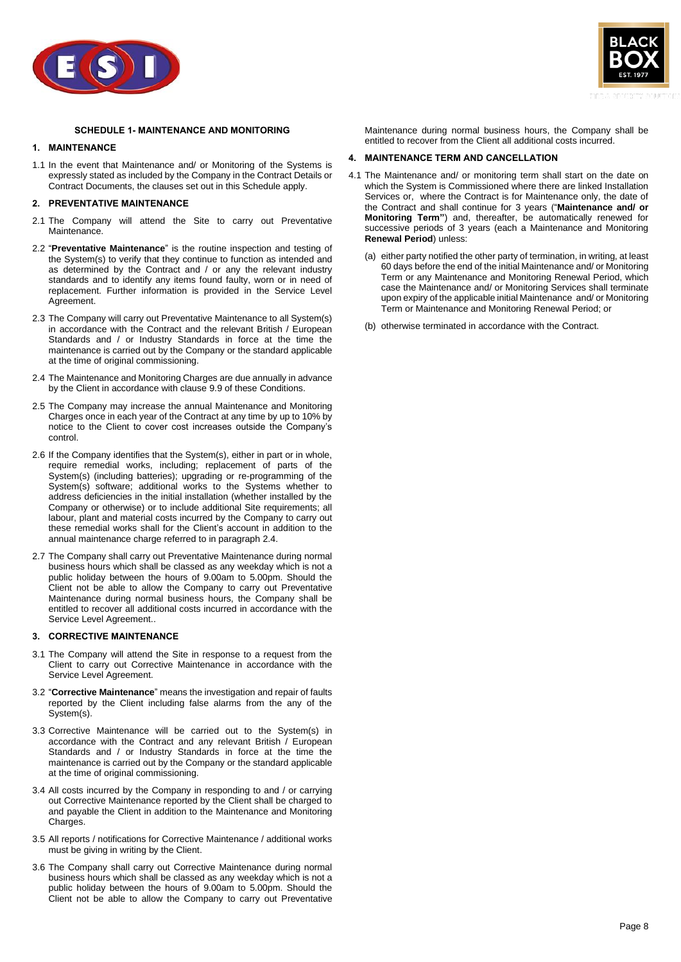



# **SCHEDULE 1- MAINTENANCE AND MONITORING**

# <span id="page-7-0"></span>**1. MAINTENANCE**

1.1 In the event that Maintenance and/ or Monitoring of the Systems is expressly stated as included by the Company in the Contract Details or Contract Documents, the clauses set out in this Schedule apply.

#### **2. PREVENTATIVE MAINTENANCE**

- 2.1 The Company will attend the Site to carry out Preventative Maintenance.
- 2.2 "**Preventative Maintenance**" is the routine inspection and testing of the System(s) to verify that they continue to function as intended and as determined by the Contract and / or any the relevant industry standards and to identify any items found faulty, worn or in need of replacement. Further information is provided in the Service Level Agreement.
- 2.3 The Company will carry out Preventative Maintenance to all System(s) in accordance with the Contract and the relevant British / European Standards and / or Industry Standards in force at the time the maintenance is carried out by the Company or the standard applicable at the time of original commissioning.
- <span id="page-7-1"></span>2.4 The Maintenance and Monitoring Charges are due annually in advance by the Client in accordance with clause [9.9](#page-3-5) of these Conditions.
- 2.5 The Company may increase the annual Maintenance and Monitoring Charges once in each year of the Contract at any time by up to 10% by notice to the Client to cover cost increases outside the Company's control.
- 2.6 If the Company identifies that the System(s), either in part or in whole, require remedial works, including; replacement of parts of the System(s) (including batteries); upgrading or re-programming of the System(s) software; additional works to the Systems whether to address deficiencies in the initial installation (whether installed by the Company or otherwise) or to include additional Site requirements; all labour, plant and material costs incurred by the Company to carry out these remedial works shall for the Client's account in addition to the annual maintenance charge referred to in paragraph [2.4.](#page-7-1)
- 2.7 The Company shall carry out Preventative Maintenance during normal business hours which shall be classed as any weekday which is not a public holiday between the hours of 9.00am to 5.00pm. Should the Client not be able to allow the Company to carry out Preventative Maintenance during normal business hours, the Company shall be entitled to recover all additional costs incurred in accordance with the Service Level Agreement..

#### **3. CORRECTIVE MAINTENANCE**

- 3.1 The Company will attend the Site in response to a request from the Client to carry out Corrective Maintenance in accordance with the Service Level Agreement.
- 3.2 "**Corrective Maintenance**" means the investigation and repair of faults reported by the Client including false alarms from the any of the System(s).
- 3.3 Corrective Maintenance will be carried out to the System(s) in accordance with the Contract and any relevant British / European Standards and / or Industry Standards in force at the time the maintenance is carried out by the Company or the standard applicable at the time of original commissioning.
- 3.4 All costs incurred by the Company in responding to and / or carrying out Corrective Maintenance reported by the Client shall be charged to and payable the Client in addition to the Maintenance and Monitoring Charges.
- 3.5 All reports / notifications for Corrective Maintenance / additional works must be giving in writing by the Client.
- 3.6 The Company shall carry out Corrective Maintenance during normal business hours which shall be classed as any weekday which is not a public holiday between the hours of 9.00am to 5.00pm. Should the Client not be able to allow the Company to carry out Preventative

Maintenance during normal business hours, the Company shall be entitled to recover from the Client all additional costs incurred.

# **4. MAINTENANCE TERM AND CANCELLATION**

- 4.1 The Maintenance and/ or monitoring term shall start on the date on which the System is Commissioned where there are linked Installation Services or, where the Contract is for Maintenance only, the date of the Contract and shall continue for 3 years ("**Maintenance and/ or Monitoring Term"**) and, thereafter, be automatically renewed for successive periods of 3 years (each a Maintenance and Monitoring **Renewal Period**) unless:
	- (a) either party notified the other party of termination, in writing, at least 60 days before the end of the initial Maintenance and/ or Monitoring Term or any Maintenance and Monitoring Renewal Period, which case the Maintenance and/ or Monitoring Services shall terminate upon expiry of the applicable initial Maintenance and/ or Monitoring Term or Maintenance and Monitoring Renewal Period; or
	- (b) otherwise terminated in accordance with the Contract.